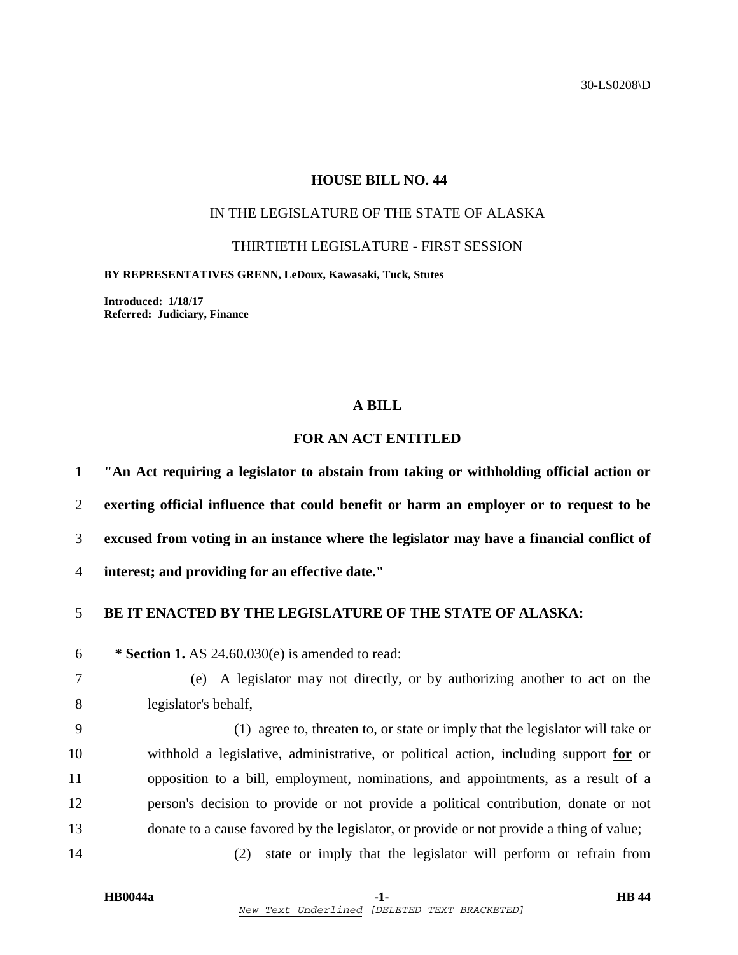30-LS0208\D

#### **HOUSE BILL NO. 44**

## IN THE LEGISLATURE OF THE STATE OF ALASKA

THIRTIETH LEGISLATURE - FIRST SESSION

**BY REPRESENTATIVES GRENN, LeDoux, Kawasaki, Tuck, Stutes** 

**Introduced: 1/18/17 Referred: Judiciary, Finance** 

#### **A BILL**

# **FOR AN ACT ENTITLED**

**"An Act requiring a legislator to abstain from taking or withholding official action or exerting official influence that could benefit or harm an employer or to request to be excused from voting in an instance where the legislator may have a financial conflict of interest; and providing for an effective date."** 

### 5 **BE IT ENACTED BY THE LEGISLATURE OF THE STATE OF ALASKA:**

6 **\* Section 1.** AS 24.60.030(e) is amended to read:

7 (e) A legislator may not directly, or by authorizing another to act on the 8 legislator's behalf,

9 (1) agree to, threaten to, or state or imply that the legislator will take or 10 withhold a legislative, administrative, or political action, including support **for** or 11 opposition to a bill, employment, nominations, and appointments, as a result of a 12 person's decision to provide or not provide a political contribution, donate or not 13 donate to a cause favored by the legislator, or provide or not provide a thing of value;

14 (2) state or imply that the legislator will perform or refrain from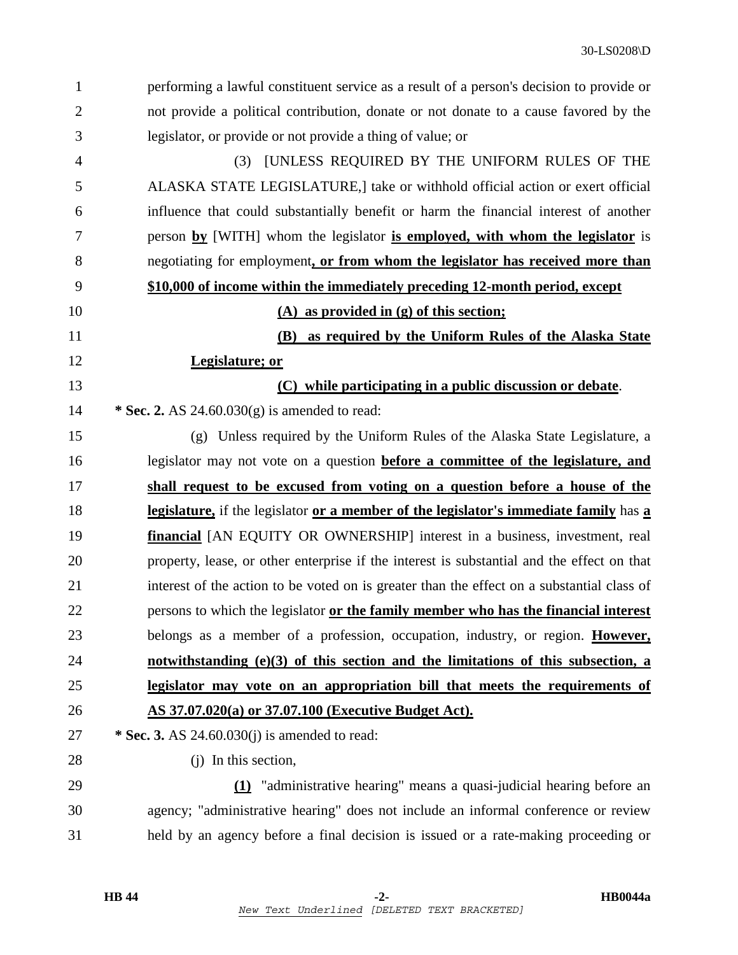| $\mathbf{1}$   | performing a lawful constituent service as a result of a person's decision to provide or   |
|----------------|--------------------------------------------------------------------------------------------|
| $\overline{2}$ | not provide a political contribution, donate or not donate to a cause favored by the       |
| 3              | legislator, or provide or not provide a thing of value; or                                 |
| $\overline{4}$ | <b>JUNLESS REQUIRED BY THE UNIFORM RULES OF THE</b><br>(3)                                 |
| 5              | ALASKA STATE LEGISLATURE, ake or withhold official action or exert official                |
| 6              | influence that could substantially benefit or harm the financial interest of another       |
| 7              | person by [WITH] whom the legislator is employed, with whom the legislator is              |
| 8              | negotiating for employment, or from whom the legislator has received more than             |
| 9              | \$10,000 of income within the immediately preceding 12-month period, except                |
| 10             | $(A)$ as provided in $(g)$ of this section;                                                |
| 11             | as required by the Uniform Rules of the Alaska State<br><b>(B)</b>                         |
| 12             | Legislature; or                                                                            |
| 13             | (C) while participating in a public discussion or debate.                                  |
| 14             | * Sec. 2. AS $24.60.030(g)$ is amended to read:                                            |
| 15             | (g) Unless required by the Uniform Rules of the Alaska State Legislature, a                |
| 16             | legislator may not vote on a question <b>before a committee of the legislature, and</b>    |
| 17             | shall request to be excused from voting on a question before a house of the                |
| 18             | legislature, if the legislator or a member of the legislator's immediate family has a      |
| 19             | <b>financial</b> [AN EQUITY OR OWNERSHIP] interest in a business, investment, real         |
| 20             | property, lease, or other enterprise if the interest is substantial and the effect on that |
| 21             | interest of the action to be voted on is greater than the effect on a substantial class of |
| 22             | persons to which the legislator or the family member who has the financial interest        |
| 23             | belongs as a member of a profession, occupation, industry, or region. However,             |
| 24             | notwithstanding $(e)(3)$ of this section and the limitations of this subsection, a         |
| 25             | legislator may vote on an appropriation bill that meets the requirements of                |
| 26             | AS 37.07.020(a) or 37.07.100 (Executive Budget Act).                                       |
| 27             | * Sec. 3. AS $24.60.030(i)$ is amended to read:                                            |
| 28             | $(i)$ In this section,                                                                     |
| 29             | (1) "administrative hearing" means a quasi-judicial hearing before an                      |
| 30             | agency; "administrative hearing" does not include an informal conference or review         |
| 31             | held by an agency before a final decision is issued or a rate-making proceeding or         |